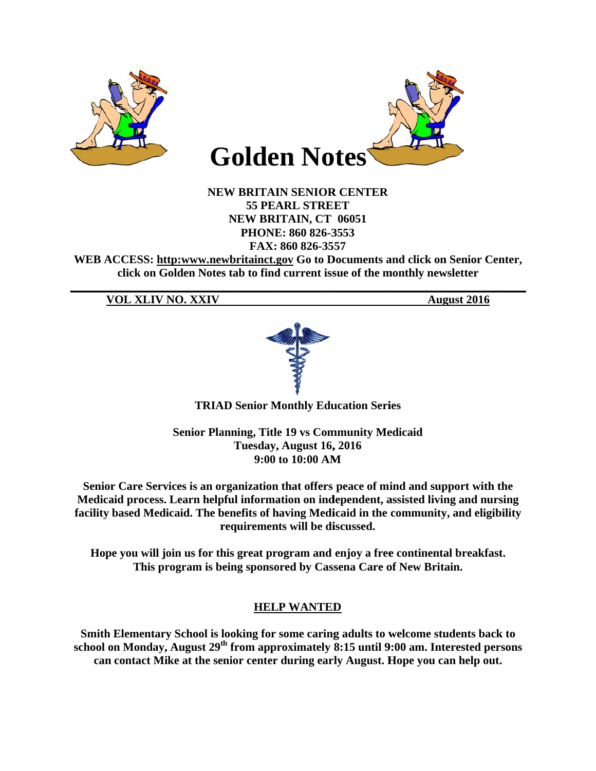

**NEW BRITAIN SENIOR CENTER 55 PEARL STREET NEW BRITAIN, CT 06051** PHONE: 860 826-3553 FAX: 860 826-3557

WEB ACCESS: http:www.newbritainct.gov Go to Documents and click on Senior Center, click on Golden Notes tab to find current issue of the monthly newsletter

**VOL XLIV NO. XXIV** 

**August 2016** 



**TRIAD Senior Monthly Education Series** 

**Senior Planning, Title 19 vs Community Medicaid** Tuesday, August 16, 2016 9:00 to 10:00 AM

Senior Care Services is an organization that offers peace of mind and support with the Medicaid process. Learn helpful information on independent, assisted living and nursing facility based Medicaid. The benefits of having Medicaid in the community, and eligibility requirements will be discussed.

Hope you will join us for this great program and enjoy a free continental breakfast. This program is being sponsored by Cassena Care of New Britain.

# **HELP WANTED**

Smith Elementary School is looking for some caring adults to welcome students back to school on Monday, August  $29^{th}$  from approximately 8:15 until 9:00 am. Interested persons can contact Mike at the senior center during early August. Hope you can help out.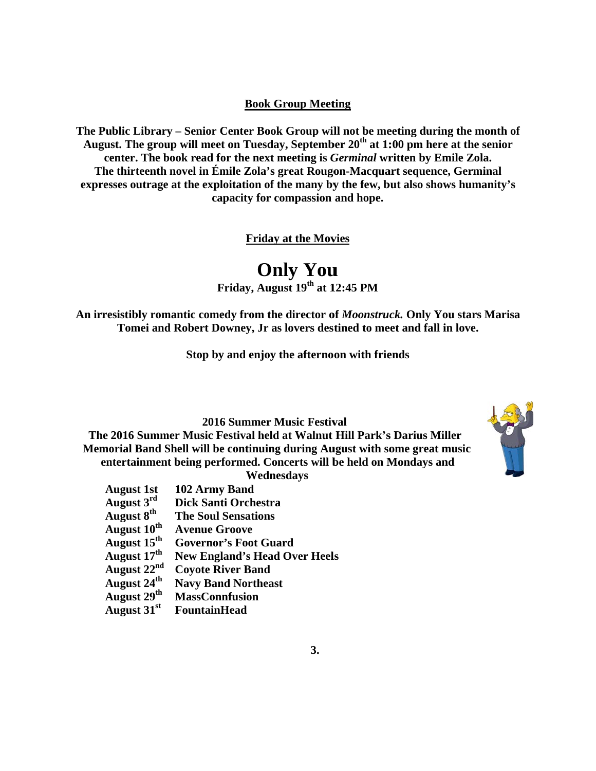#### **Book G Group Meet ting**

The Public Library – Senior Center Book Group will not be meeting during the month of August. The group will meet on Tuesday, September 20<sup>th</sup> at 1:00 pm here at the senior center. The book read for the next meeting is *Germinal* written by Emile Zola. **The thirteenth novel in Émile Zola's great Rougon-Macquart sequence, Germinal** The thirteenth novel in Émile Zola's great Rougon-Macquart sequence, Germinal<br>expresses outrage at the exploitation of the many by the few, but also shows humanity's **ca apacity for c compassion and hope.**

**Friday at the Movies** 

**F On Friday, Augu nly You ust 19<sup>th</sup> at 12:45 PM** 

An irresistibly romantic comedy from the director of *Moonstruck*. Only You stars Marisa Tomei and Robert Downey, Jr as lovers destined to meet and fall in love.

Stop by and enjoy the afternoon with friends

**2016 Summer Music Festival** 

The 2016 Summer Music Festival held at Walnut Hill Park's Darius Miller **Memorial Band Shell will be continuing during August with some great music** entertainment being performed. Concerts will be held on Mondays and

**Wedne esdays** 

| 102 Army Band                        |
|--------------------------------------|
| <b>Dick Santi Orchestra</b>          |
| <b>The Soul Sensations</b>           |
| <b>Avenue Groove</b>                 |
| <b>Governor's Foot Guard</b>         |
| <b>New England's Head Over Heels</b> |
| <b>Coyote River Band</b>             |
| <b>Navy Band Northeast</b>           |
| <b>MassConnfusion</b>                |
| <b>FountainHead</b>                  |
|                                      |

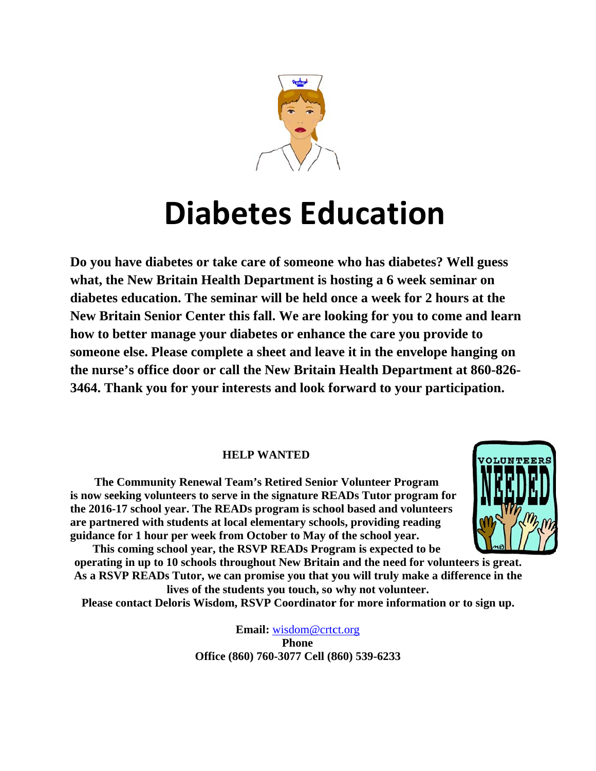

# **Diabetes Education**

Do you have diabetes or take care of someone who has diabetes? Well guess what, the New Britain Health Department is hosting a 6 week seminar on diabetes education. The seminar will be held once a week for 2 hours at the New Britain Senior Center this fall. We are looking for you to come and learn how to better manage your diabetes or enhance the care you provide to someone else. Please complete a sheet and leave it in the envelope hanging on the nurse's office door or call the New Britain Health Department at 860-826-3464. Thank you for your interests and look forward to your participation.

### **HELP WANTED**

The Community Renewal Team's Retired Senior Volunteer Program is now seeking volunteers to serve in the signature READs Tutor program for the 2016-17 school year. The READs program is school based and volunteers are partnered with students at local elementary schools, providing reading guidance for 1 hour per week from October to May of the school year.



This coming school year, the RSVP READs Program is expected to be operating in up to 10 schools throughout New Britain and the need for volunteers is great. As a RSVP READs Tutor, we can promise you that you will truly make a difference in the lives of the students you touch, so why not volunteer.

Please contact Deloris Wisdom, RSVP Coordinator for more information or to sign up.

**Email:** wisdom@crtct.org **Phone** Office (860) 760-3077 Cell (860) 539-6233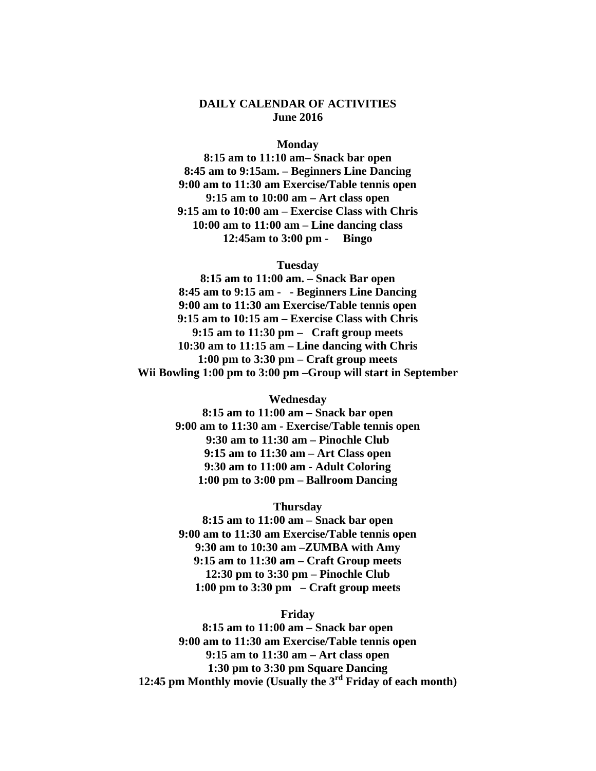#### **DAILY CALENDAR OF ACTIVITIES June 2016**

#### **Monday**

**8:15 am to 11:10 am– Snack bar open 8:45 am to 9:15am. – Beginners Line Dancing 9:00 am to 11:30 am Exercise/Table tennis open 9:15 am to 10:00 am – Art class open 9:15 am to 10:00 am – Exercise Class with Chris 10:00 am to 11:00 am – Line dancing class 12:45am to 3:00 pm - Bingo** 

#### **Tuesday**

**8:15 am to 11:00 am. – Snack Bar open 8:45 am to 9:15 am - - Beginners Line Dancing 9:00 am to 11:30 am Exercise/Table tennis open 9:15 am to 10:15 am – Exercise Class with Chris 9:15 am to 11:30 pm – Craft group meets 10:30 am to 11:15 am – Line dancing with Chris 1:00 pm to 3:30 pm – Craft group meets Wii Bowling 1:00 pm to 3:00 pm –Group will start in September** 

**Wednesday** 

**8:15 am to 11:00 am – Snack bar open 9:00 am to 11:30 am - Exercise/Table tennis open 9:30 am to 11:30 am – Pinochle Club 9:15 am to 11:30 am – Art Class open 9:30 am to 11:00 am - Adult Coloring 1:00 pm to 3:00 pm – Ballroom Dancing** 

**Thursday** 

**8:15 am to 11:00 am – Snack bar open 9:00 am to 11:30 am Exercise/Table tennis open 9:30 am to 10:30 am –ZUMBA with Amy 9:15 am to 11:30 am – Craft Group meets 12:30 pm to 3:30 pm – Pinochle Club 1:00 pm to 3:30 pm – Craft group meets** 

#### **Friday**

**8:15 am to 11:00 am – Snack bar open 9:00 am to 11:30 am Exercise/Table tennis open 9:15 am to 11:30 am – Art class open 1:30 pm to 3:30 pm Square Dancing 12:45 pm Monthly movie (Usually the 3rd Friday of each month)**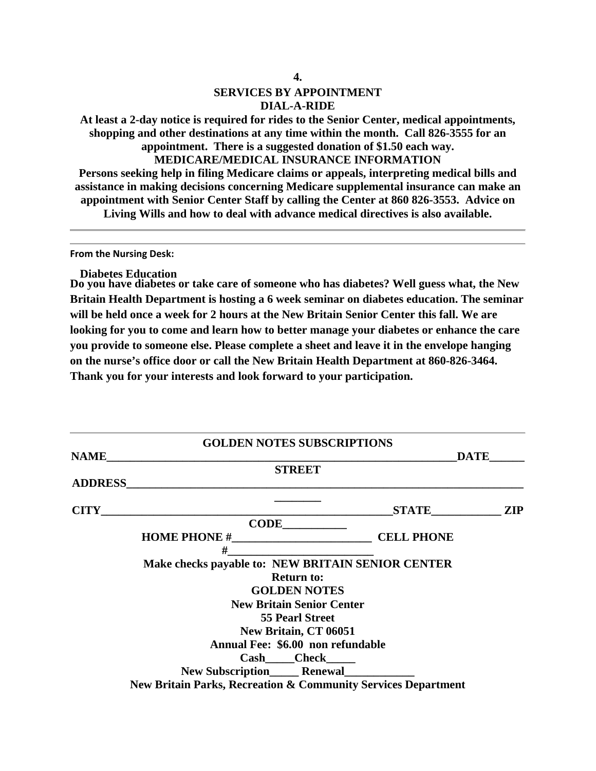# **SERVICES BY APPOINTMENT DIAL-A-RIDE**

**At least a 2-day notice is required for rides to the Senior Center, medical appointments, shopping and other destinations at any time within the month. Call 826-3555 for an appointment. There is a suggested donation of \$1.50 each way.** 

**MEDICARE/MEDICAL INSURANCE INFORMATION** 

**Persons seeking help in filing Medicare claims or appeals, interpreting medical bills and assistance in making decisions concerning Medicare supplemental insurance can make an appointment with Senior Center Staff by calling the Center at 860 826-3553. Advice on Living Wills and how to deal with advance medical directives is also available.** 

**From the Nursing Desk:**

**Diabetes Education** 

**Do you have diabetes or take care of someone who has diabetes? Well guess what, the New Britain Health Department is hosting a 6 week seminar on diabetes education. The seminar will be held once a week for 2 hours at the New Britain Senior Center this fall. We are looking for you to come and learn how to better manage your diabetes or enhance the care you provide to someone else. Please complete a sheet and leave it in the envelope hanging on the nurse's office door or call the New Britain Health Department at 860-826-3464. Thank you for your interests and look forward to your participation.** 

|                | <b>GOLDEN NOTES SUBSCRIPTIONS</b>                                        |             |  |
|----------------|--------------------------------------------------------------------------|-------------|--|
| <b>NAME</b>    |                                                                          | <b>DATE</b> |  |
|                | <b>STREET</b>                                                            |             |  |
| <b>ADDRESS</b> |                                                                          |             |  |
|                | CITY                                                                     | STATE ZIP   |  |
|                | $CODE$ $\qquad \qquad$                                                   |             |  |
|                |                                                                          |             |  |
|                | #                                                                        |             |  |
|                | Make checks payable to: NEW BRITAIN SENIOR CENTER                        |             |  |
|                | <b>Return to:</b>                                                        |             |  |
|                | <b>GOLDEN NOTES</b>                                                      |             |  |
|                | <b>New Britain Senior Center</b>                                         |             |  |
|                | <b>55 Pearl Street</b>                                                   |             |  |
|                | New Britain, CT 06051                                                    |             |  |
|                | Annual Fee: \$6.00 non refundable                                        |             |  |
|                | Cash_____Check______                                                     |             |  |
|                | New Subscription_______ Renewal______________                            |             |  |
|                | <b>New Britain Parks, Recreation &amp; Community Services Department</b> |             |  |